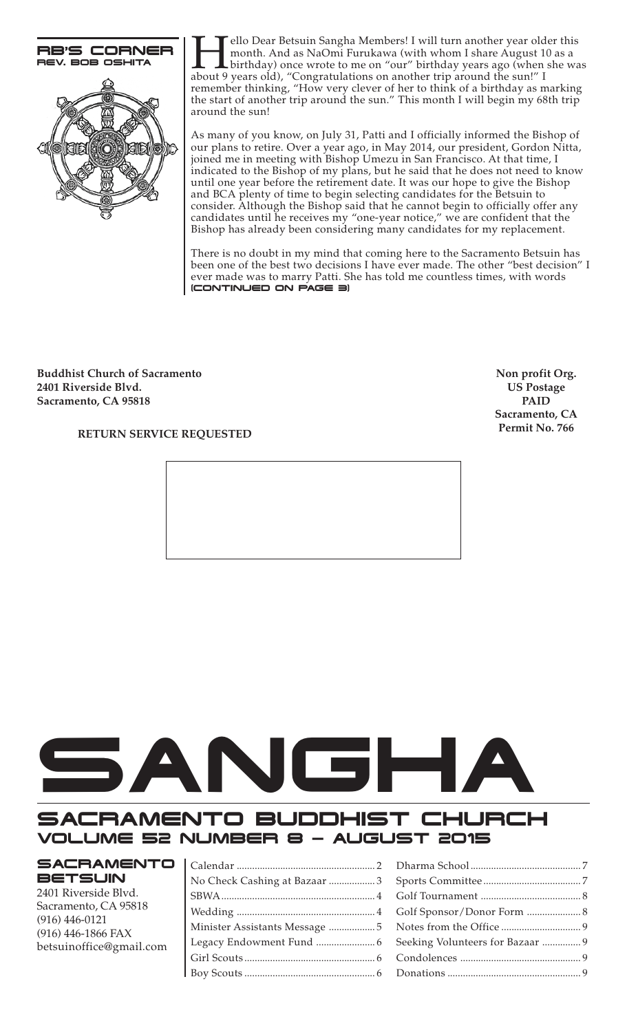

Fello Dear Betsuin Sangha Members! I will turn another year older this<br>month. And as NaOmi Furukawa (with whom I share August 10 as a<br>bout 9 years old), "Congratulations on another trip around the sun!" I month. And as NaOmi Furukawa (with whom I share August 10 as a birthday) once wrote to me on "our" birthday years ago (when she was about 9 years old), "Congratulations on another trip around the sun!" I remember thinking, "How very clever of her to think of a birthday as marking the start of another trip around the sun." This month I will begin my 68th trip around the sun!

As many of you know, on July 31, Patti and I officially informed the Bishop of our plans to retire. Over a year ago, in May 2014, our president, Gordon Nitta, joined me in meeting with Bishop Umezu in San Francisco. At that time, I indicated to the Bishop of my plans, but he said that he does not need to know until one year before the retirement date. It was our hope to give the Bishop and BCA plenty of time to begin selecting candidates for the Betsuin to consider. Although the Bishop said that he cannot begin to officially offer any candidates until he receives my "one-year notice," we are confident that the Bishop has already been considering many candidates for my replacement.

(CONTINUED ON PAGE 3) There is no doubt in my mind that coming here to the Sacramento Betsuin has been one of the best two decisions I have ever made. The other "best decision" I ever made was to marry Patti. She has told me countless times, with words

**Buddhist Church of Sacramento 2401 Riverside Blvd. Sacramento, CA 95818**

**Non profit Org. US Postage PAID Sacramento, CA Permit No. 766**

## **RETURN SERVICE REQUESTED**



# SACRAMENTO BUDDHIST CHURCH VOLUME 52 NUMBER 8 — AUGUST 2015

# **SACRAMENTO BETSUIN**

2401 Riverside Blvd. Sacramento, CA 95818 (916) 446-0121 (916) 446-1866 FAX betsuinoffice@gmail.com

| No Check Cashing at Bazaar 3 |  |
|------------------------------|--|
|                              |  |
|                              |  |
|                              |  |
|                              |  |
|                              |  |
|                              |  |
|                              |  |

| Seeking Volunteers for Bazaar  9 |  |
|----------------------------------|--|
|                                  |  |
|                                  |  |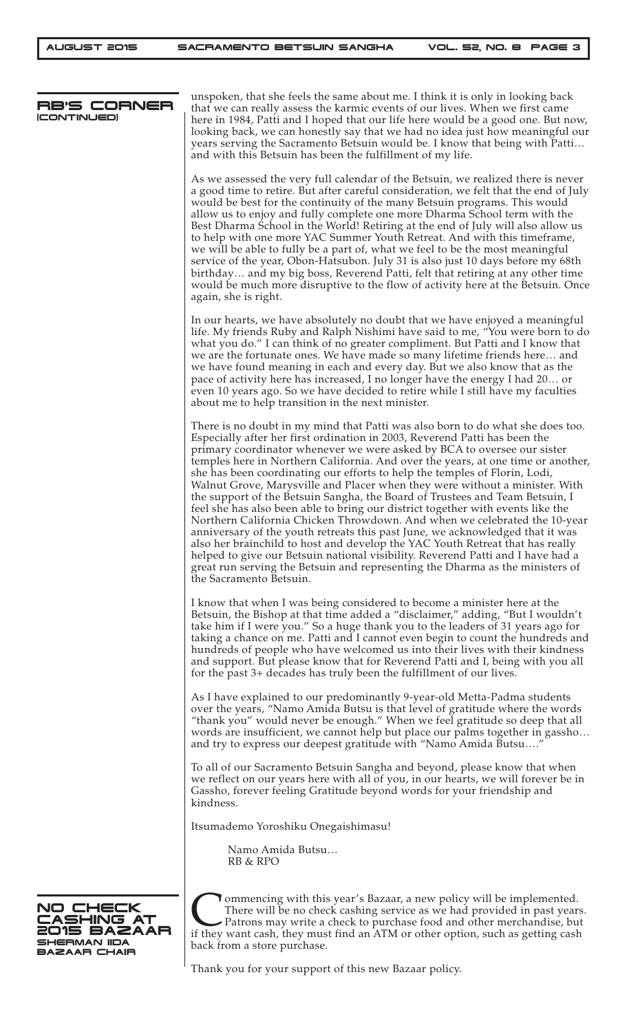| RB'S CORNER<br>(CONTINUED)                                            | unspoken, that she feels the same about me. I think it is only in looking back<br>that we can really assess the karmic events of our lives. When we first came<br>here in 1984, Patti and I hoped that our life here would be a good one. But now,<br>looking back, we can honestly say that we had no idea just how meaningful our<br>years serving the Sacramento Betsuin would be. I know that being with Patti<br>and with this Betsuin has been the fulfillment of my life.                                                                                                                                                                                                                                                                                                                                                                                                                                                                                                                                                                                                                          |
|-----------------------------------------------------------------------|-----------------------------------------------------------------------------------------------------------------------------------------------------------------------------------------------------------------------------------------------------------------------------------------------------------------------------------------------------------------------------------------------------------------------------------------------------------------------------------------------------------------------------------------------------------------------------------------------------------------------------------------------------------------------------------------------------------------------------------------------------------------------------------------------------------------------------------------------------------------------------------------------------------------------------------------------------------------------------------------------------------------------------------------------------------------------------------------------------------|
|                                                                       | As we assessed the very full calendar of the Betsuin, we realized there is never<br>a good time to retire. But after careful consideration, we felt that the end of July<br>would be best for the continuity of the many Betsuin programs. This would<br>allow us to enjoy and fully complete one more Dharma School term with the<br>Best Dharma School in the World! Retiring at the end of July will also allow us<br>to help with one more YAC Summer Youth Retreat. And with this timeframe,<br>we will be able to fully be a part of, what we feel to be the most meaningful<br>service of the year, Obon-Hatsubon. July 31 is also just 10 days before my 68th<br>birthday and my big boss, Reverend Patti, felt that retiring at any other time<br>would be much more disruptive to the flow of activity here at the Betsuin. Once<br>again, she is right.                                                                                                                                                                                                                                        |
|                                                                       | In our hearts, we have absolutely no doubt that we have enjoyed a meaningful<br>life. My friends Ruby and Ralph Nishimi have said to me, "You were born to do<br>what you do." I can think of no greater compliment. But Patti and I know that<br>we are the fortunate ones. We have made so many lifetime friends here and<br>we have found meaning in each and every day. But we also know that as the<br>pace of activity here has increased, I no longer have the energy I had 20 or<br>even 10 years ago. So we have decided to retire while I still have my faculties<br>about me to help transition in the next minister.                                                                                                                                                                                                                                                                                                                                                                                                                                                                          |
|                                                                       | There is no doubt in my mind that Patti was also born to do what she does too.<br>Especially after her first ordination in 2003, Reverend Patti has been the<br>primary coordinator whenever we were asked by BCA to oversee our sister<br>temples here in Northern California. And over the years, at one time or another,<br>she has been coordinating our efforts to help the temples of Florin, Lodi,<br>Walnut Grove, Marysville and Placer when they were without a minister. With<br>the support of the Betsuin Sangha, the Board of Trustees and Team Betsuin, I<br>feel she has also been able to bring our district together with events like the<br>Northern California Chicken Throwdown. And when we celebrated the 10-year<br>anniversary of the youth retreats this past June, we acknowledged that it was<br>also her brainchild to host and develop the YAC Youth Retreat that has really<br>helped to give our Betsuin national visibility. Reverend Patti and I have had a<br>great run serving the Betsuin and representing the Dharma as the ministers of<br>the Sacramento Betsuin. |
|                                                                       | I know that when I was being considered to become a minister here at the<br>Betsuin, the Bishop at that time added a "disclaimer," adding, "But I wouldn't<br>take him if I were you." So a huge thank you to the leaders of 31 years ago for<br>taking a chance on me. Patti and I cannot even begin to count the hundreds and<br>hundreds of people who have welcomed us into their lives with their kindness<br>and support. But please know that for Reverend Patti and I, being with you all<br>for the past 3+ decades has truly been the fulfillment of our lives.                                                                                                                                                                                                                                                                                                                                                                                                                                                                                                                                 |
|                                                                       | As I have explained to our predominantly 9-year-old Metta-Padma students<br>over the years, "Namo Amida Butsu is that level of gratitude where the words<br>"thank you" would never be enough." When we feel gratitude so deep that all<br>words are insufficient, we cannot help but place our palms together in gassho<br>and try to express our deepest gratitude with "Namo Amida Butsu"                                                                                                                                                                                                                                                                                                                                                                                                                                                                                                                                                                                                                                                                                                              |
|                                                                       | To all of our Sacramento Betsuin Sangha and beyond, please know that when<br>we reflect on our years here with all of you, in our hearts, we will forever be in<br>Gassho, forever feeling Gratitude beyond words for your friendship and<br>kindness.                                                                                                                                                                                                                                                                                                                                                                                                                                                                                                                                                                                                                                                                                                                                                                                                                                                    |
|                                                                       | Itsumademo Yoroshiku Onegaishimasu!                                                                                                                                                                                                                                                                                                                                                                                                                                                                                                                                                                                                                                                                                                                                                                                                                                                                                                                                                                                                                                                                       |
|                                                                       | Namo Amida Butsu<br><b>RB &amp; RPO</b>                                                                                                                                                                                                                                                                                                                                                                                                                                                                                                                                                                                                                                                                                                                                                                                                                                                                                                                                                                                                                                                                   |
| NO CHECK<br>CASHING AT<br>2015 BAZAAR<br>SHERMAN IIDA<br>BAZAAR CHAIR | ommencing with this year's Bazaar, a new policy will be implemented.<br>There will be no check cashing service as we had provided in past years.<br>$\blacktriangleright$ Patrons may write a check to purchase food and other merchandise, but<br>if they want cash, they must find an ATM or other option, such as getting cash<br>back from a store purchase.                                                                                                                                                                                                                                                                                                                                                                                                                                                                                                                                                                                                                                                                                                                                          |

Thank you for your support of this new Bazaar policy.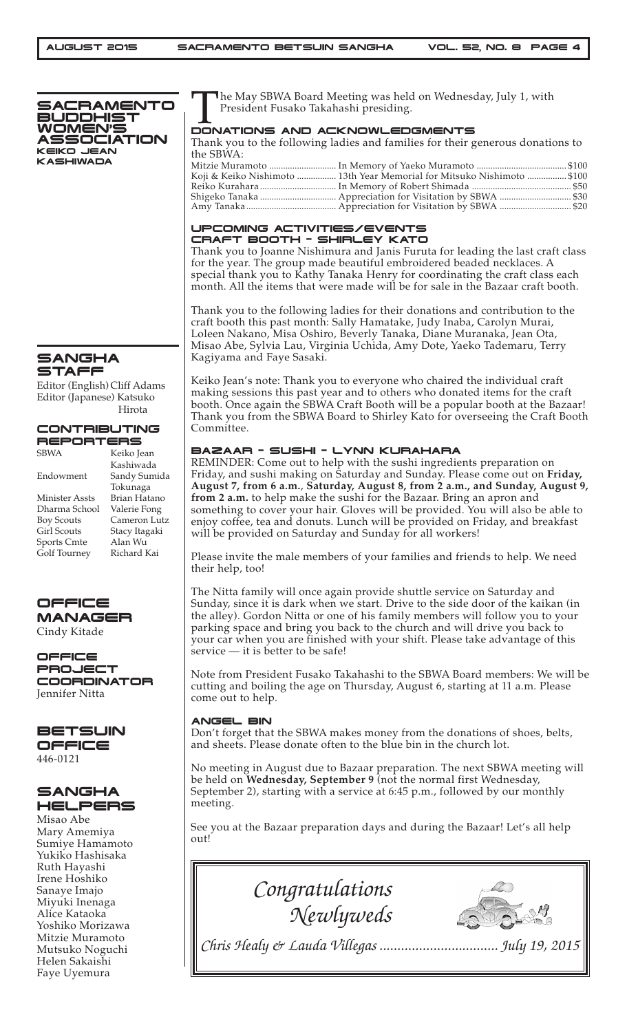

## SANGHA STAFF

Editor (English) Cliff Adams Editor (Japanese) Katsuko Hirota

#### CONTRIBUTING **REPORTERS**

| <b>SBWA</b>        | Keiko Jean    |
|--------------------|---------------|
|                    | Kashiwada     |
| Endowment          | Sandy Sumida  |
|                    | Tokunaga      |
| Minister Assts     | Brian Hatano  |
| Dharma School      | Valerie Fong  |
| <b>Boy Scouts</b>  | Cameron Lutz  |
| <b>Girl Scouts</b> | Stacy Itagaki |
| <b>Sports Cmte</b> | Alan Wu       |
| Golf Tourney       | Richard Kai   |
|                    |               |



Cindy Kitade

OFFICE PROJECT COORDINATOR Jennifer Nitta

#### **BETSUIN** OFFICE 446-0121

# **SANGHA** HELPERS

Misao Abe Mary Amemiya Sumiye Hamamoto Yukiko Hashisaka Ruth Hayashi Irene Hoshiko Sanaye Imajo Miyuki Inenaga Alice Kataoka Yoshiko Morizawa Mitzie Muramoto Mutsuko Noguchi Helen Sakaishi Faye Uyemura

The May SBWA Board Meeting was held on Wednesday, July 1, with President Fusako Takahashi presiding.

#### DONATIONS AND ACKNOWLEDGMENTS

Thank you to the following ladies and families for their generous donations to the SBWA:<br>Mitzie Muramoto Mitzie Muramoto ............................. In Memory of Yaeko Muramoto ....................................... \$100

| $\mu$ and $\mu$ is a set of the set of $\mu$ is the set of $\mu$ is a set of $\mu$ is a set of $\mu$ is a set of $\mu$ is a set of $\mu$ is a set of $\mu$ is a set of $\mu$ is a set of $\mu$ is a set of $\mu$ is a set of $\mu$ is a se |  |
|--------------------------------------------------------------------------------------------------------------------------------------------------------------------------------------------------------------------------------------------|--|
| Koji & Keiko Nishimoto  13th Year Memorial for Mitsuko Nishimoto  \$100                                                                                                                                                                    |  |
|                                                                                                                                                                                                                                            |  |
|                                                                                                                                                                                                                                            |  |
|                                                                                                                                                                                                                                            |  |

#### UPCOMING ACTIVITIES/EVENTS CRAFT BOOTH – SHIRLEY KATO

Thank you to Joanne Nishimura and Janis Furuta for leading the last craft class for the year. The group made beautiful embroidered beaded necklaces. A special thank you to Kathy Tanaka Henry for coordinating the craft class each month. All the items that were made will be for sale in the Bazaar craft booth.

Thank you to the following ladies for their donations and contribution to the craft booth this past month: Sally Hamatake, Judy Inaba, Carolyn Murai, Loleen Nakano, Misa Oshiro, Beverly Tanaka, Diane Muranaka, Jean Ota, Misao Abe, Sylvia Lau, Virginia Uchida, Amy Dote, Yaeko Tademaru, Terry Kagiyama and Faye Sasaki.

Keiko Jean's note: Thank you to everyone who chaired the individual craft making sessions this past year and to others who donated items for the craft booth. Once again the SBWA Craft Booth will be a popular booth at the Bazaar! Thank you from the SBWA Board to Shirley Kato for overseeing the Craft Booth Committee.

## BAZAAR – SUSHI – LYNN KURAHARA

REMINDER: Come out to help with the sushi ingredients preparation on Friday, and sushi making on Saturday and Sunday. Please come out on **Friday, August 7, from 6 a.m.**, **Saturday, August 8, from 2 a.m., and Sunday, August 9, from 2 a.m.** to help make the sushi for the Bazaar. Bring an apron and something to cover your hair. Gloves will be provided. You will also be able to enjoy coffee, tea and donuts. Lunch will be provided on Friday, and breakfast will be provided on Saturday and Sunday for all workers!

Please invite the male members of your families and friends to help. We need their help, too!

The Nitta family will once again provide shuttle service on Saturday and Sunday, since it is dark when we start. Drive to the side door of the kaikan (in the alley). Gordon Nitta or one of his family members will follow you to your parking space and bring you back to the church and will drive you back to your car when you are finished with your shift. Please take advantage of this service — it is better to be safe!

Note from President Fusako Takahashi to the SBWA Board members: We will be cutting and boiling the age on Thursday, August 6, starting at 11 a.m. Please come out to help.

### ANGEL BIN

Don't forget that the SBWA makes money from the donations of shoes, belts, and sheets. Please donate often to the blue bin in the church lot.

No meeting in August due to Bazaar preparation. The next SBWA meeting will be held on **Wednesday, September 9** (not the normal first Wednesday, September 2), starting with a service at 6:45 p.m., followed by our monthly meeting.

See you at the Bazaar preparation days and during the Bazaar! Let's all help out!





*Chris Healy & Lauda Villegas ................................. July 19, 2015*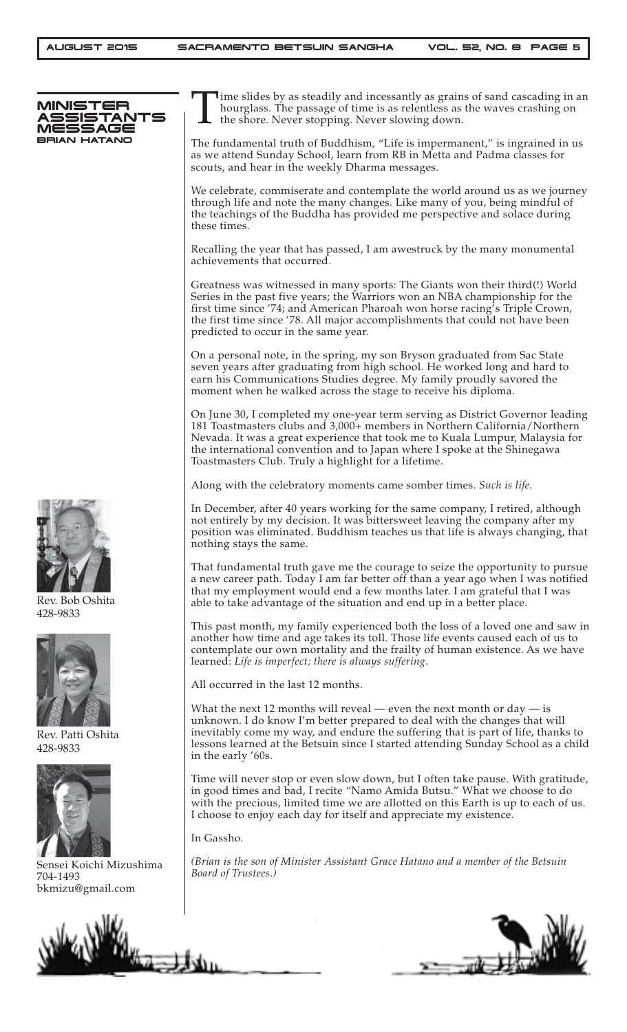

Time slides by as steadily and incessantly as grains of sand cascading in an hourglass. The passage of time is as relentless as the waves crashing on the shore. Never stopping. Never slowing down. hourglass. The passage of time is as relentless as the waves crashing on the shore. Never stopping. Never slowing down.

The fundamental truth of Buddhism, "Life is impermanent," is ingrained in us as we attend Sunday School, learn from RB in Metta and Padma classes for scouts, and hear in the weekly Dharma messages.

We celebrate, commiserate and contemplate the world around us as we journey through life and note the many changes. Like many of you, being mindful of the teachings of the Buddha has provided me perspective and solace during these times.

Recalling the year that has passed, I am awestruck by the many monumental achievements that occurred.

Greatness was witnessed in many sports: The Giants won their third(!) World Series in the past five years; the Warriors won an NBA championship for the first time since '74; and American Pharoah won horse racing's Triple Crown, the first time since '78. All major accomplishments that could not have been predicted to occur in the same year.

On a personal note, in the spring, my son Bryson graduated from Sac State seven years after graduating from high school. He worked long and hard to earn his Communications Studies degree. My family proudly savored the moment when he walked across the stage to receive his diploma.

On June 30, I completed my one-year term serving as District Governor leading 181 Toastmasters clubs and 3,000+ members in Northern California/Northern Nevada. It was a great experience that took me to Kuala Lumpur, Malaysia for the international convention and to Japan where I spoke at the Shinegawa Toastmasters Club. Truly a highlight for a lifetime.

Along with the celebratory moments came somber times. *Such is life.*

In December, after 40 years working for the same company, I retired, although not entirely by my decision. It was bittersweet leaving the company after my position was eliminated. Buddhism teaches us that life is always changing, that nothing stays the same.

That fundamental truth gave me the courage to seize the opportunity to pursue a new career path. Today I am far better off than a year ago when I was notified that my employment would end a few months later. I am grateful that I was able to take advantage of the situation and end up in a better place.

This past month, my family experienced both the loss of a loved one and saw in another how time and age takes its toll. Those life events caused each of us to contemplate our own mortality and the frailty of human existence. As we have learned: *Life is imperfect; there is always suffering.*

All occurred in the last 12 months.

What the next 12 months will reveal — even the next month or day — is unknown. I do know I'm better prepared to deal with the changes that will inevitably come my way, and endure the suffering that is part of life, thanks to lessons learned at the Betsuin since I started attending Sunday School as a child in the early '60s.

Time will never stop or even slow down, but I often take pause. With gratitude, in good times and bad, I recite "Namo Amida Butsu." What we choose to do with the precious, limited time we are allotted on this Earth is up to each of us. I choose to enjoy each day for itself and appreciate my existence.

In Gassho.

*(Brian is the son of Minister Assistant Grace Hatano and a member of the Betsuin Board of Trustees.)*





Rev. Bob Oshita 428-9833



Rev. Patti Oshita 428-9833



Sensei Koichi Mizushima 704-1493 bkmizu@gmail.com

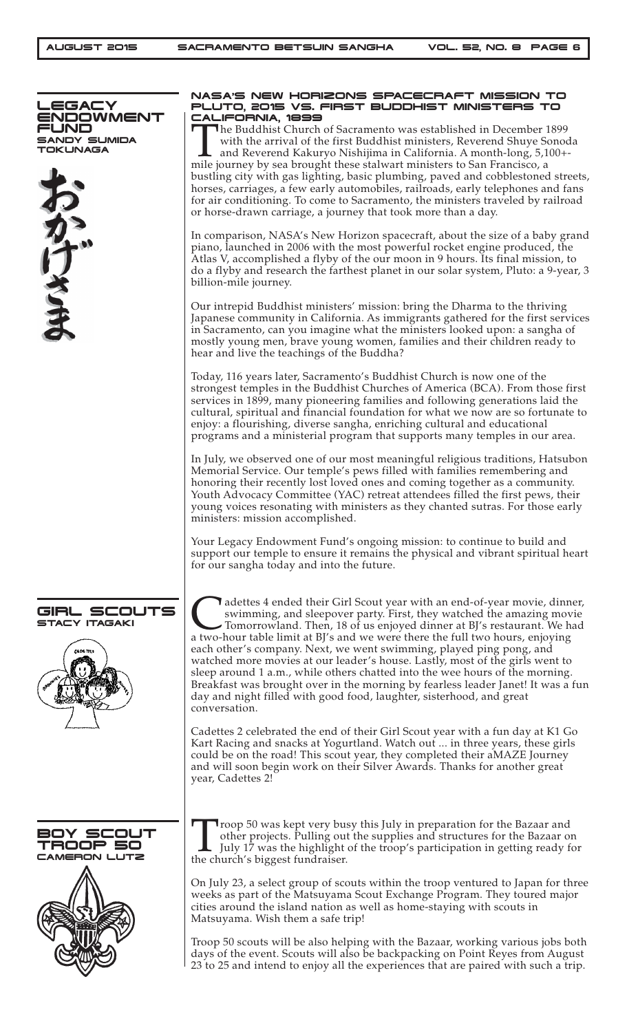

#### NASA'S NEW HORIZONS SPACECRAFT MISSION TO PLUTO, 2015 VS. FIRST BUDDHIST MINISTERS TO CALIFORNIA, 1899

The Buddhist Church of Sacramento was established in December 1899 with the arrival of the first Buddhist ministers, Reverend Shuye Sonod and Reverend Kakuryo Nishijima in California. A month-long, 5,100+ mile journey by s with the arrival of the first Buddhist ministers, Reverend Shuye Sonoda and Reverend Kakuryo Nishijima in California. A month-long, 5,100+ mile journey by sea brought these stalwart ministers to San Francisco, a bustling city with gas lighting, basic plumbing, paved and cobblestoned streets, horses, carriages, a few early automobiles, railroads, early telephones and fans for air conditioning. To come to Sacramento, the ministers traveled by railroad or horse-drawn carriage, a journey that took more than a day.

In comparison, NASA's New Horizon spacecraft, about the size of a baby grand piano, launched in 2006 with the most powerful rocket engine produced, the Atlas V, accomplished a flyby of the our moon in 9 hours. Its final mission, to do a flyby and research the farthest planet in our solar system, Pluto: a 9-year, 3 billion-mile journey.

Our intrepid Buddhist ministers' mission: bring the Dharma to the thriving Japanese community in California. As immigrants gathered for the first services in Sacramento, can you imagine what the ministers looked upon: a sangha of mostly young men, brave young women, families and their children ready to hear and live the teachings of the Buddha?

Today, 116 years later, Sacramento's Buddhist Church is now one of the strongest temples in the Buddhist Churches of America (BCA). From those first services in 1899, many pioneering families and following generations laid the cultural, spiritual and financial foundation for what we now are so fortunate to enjoy: a flourishing, diverse sangha, enriching cultural and educational programs and a ministerial program that supports many temples in our area.

In July, we observed one of our most meaningful religious traditions, Hatsubon Memorial Service. Our temple's pews filled with families remembering and honoring their recently lost loved ones and coming together as a community. Youth Advocacy Committee (YAC) retreat attendees filled the first pews, their young voices resonating with ministers as they chanted sutras. For those early ministers: mission accomplished.

Your Legacy Endowment Fund's ongoing mission: to continue to build and support our temple to ensure it remains the physical and vibrant spiritual heart for our sangha today and into the future.

adettes 4 ended their Girl Scout year with an end-of-year movie, dinner, swimming, and sleepover party. First, they watched the amazing movie Tomorrowland. Then, 18 of us enjoyed dinner at BJ's restaurant. We had a two-hou swimming, and sleepover party. First, they watched the amazing movie Tomorrowland. Then, 18 of us enjoyed dinner at BJ's restaurant. We had a two-hour table limit at BJ's and we were there the full two hours, enjoying each other's company. Next, we went swimming, played ping pong, and watched more movies at our leader's house. Lastly, most of the girls went to sleep around 1 a.m., while others chatted into the wee hours of the morning. Breakfast was brought over in the morning by fearless leader Janet! It was a fun day and night filled with good food, laughter, sisterhood, and great conversation.

Cadettes 2 celebrated the end of their Girl Scout year with a fun day at K1 Go Kart Racing and snacks at Yogurtland. Watch out ... in three years, these girls could be on the road! This scout year, they completed their aMAZE Journey and will soon begin work on their Silver Awards. Thanks for another great year, Cadettes 2!

Troop 50 was kept very busy this July in preparation for the Bazaar and other projects. Pulling out the supplies and structures for the Bazaar of July 17 was the highlight of the troop's participation in getting ready for other projects. Pulling out the supplies and structures for the Bazaar on July 17 was the highlight of the troop's participation in getting ready for the church's biggest fundraiser.

On July 23, a select group of scouts within the troop ventured to Japan for three weeks as part of the Matsuyama Scout Exchange Program. They toured major cities around the island nation as well as home-staying with scouts in Matsuyama. Wish them a safe trip!

Troop 50 scouts will be also helping with the Bazaar, working various jobs both days of the event. Scouts will also be backpacking on Point Reyes from August 23 to 25 and intend to enjoy all the experiences that are paired with such a trip.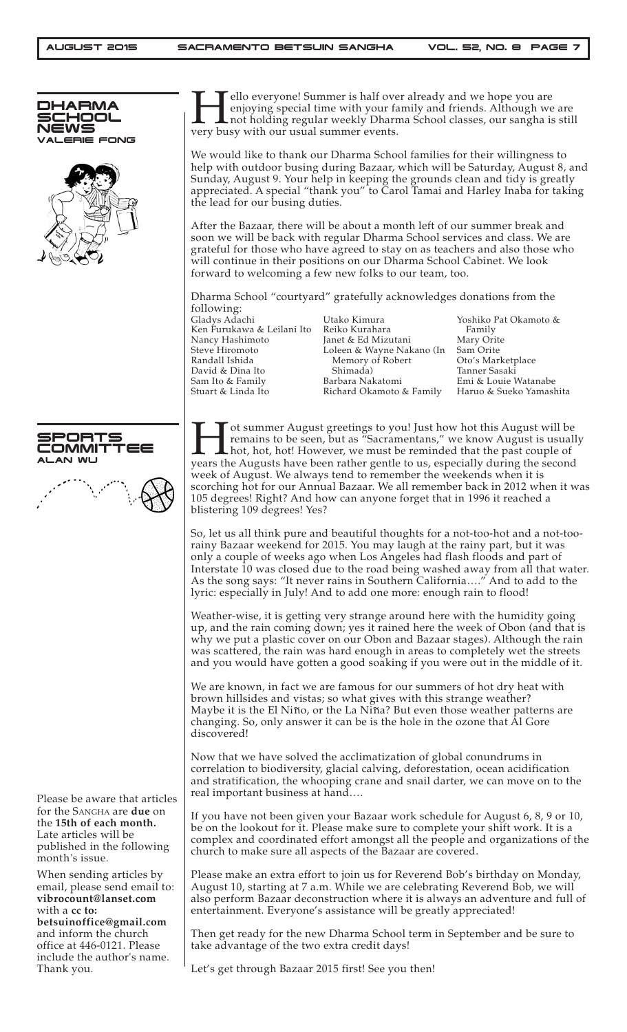| DHARMA<br><b>SCHOOL</b><br>NEWS<br><b>/ALERIE FONG</b>                                                                                                         | ello everyone! Summer is half over already and we hope you are<br>enjoying special time with your family and friends. Although we are<br>I not holding regular weekly Dharma School classes, our sangha is still<br>very busy with our usual summer events.                                                                                                                                                                                                                                                                                                                      |                                                                                                                                                                                                                                                                                                                                 |                                                                                                                                                     |  |
|----------------------------------------------------------------------------------------------------------------------------------------------------------------|----------------------------------------------------------------------------------------------------------------------------------------------------------------------------------------------------------------------------------------------------------------------------------------------------------------------------------------------------------------------------------------------------------------------------------------------------------------------------------------------------------------------------------------------------------------------------------|---------------------------------------------------------------------------------------------------------------------------------------------------------------------------------------------------------------------------------------------------------------------------------------------------------------------------------|-----------------------------------------------------------------------------------------------------------------------------------------------------|--|
|                                                                                                                                                                | We would like to thank our Dharma School families for their willingness to<br>help with outdoor busing during Bazaar, which will be Saturday, August 8, and<br>Sunday, August 9. Your help in keeping the grounds clean and tidy is greatly<br>appreciated. A special "thank you" to Carol Tamai and Harley Inaba for taking<br>the lead for our busing duties.                                                                                                                                                                                                                  |                                                                                                                                                                                                                                                                                                                                 |                                                                                                                                                     |  |
|                                                                                                                                                                | After the Bazaar, there will be about a month left of our summer break and<br>soon we will be back with regular Dharma School services and class. We are<br>grateful for those who have agreed to stay on as teachers and also those who<br>will continue in their positions on our Dharma School Cabinet. We look<br>forward to welcoming a few new folks to our team, too.                                                                                                                                                                                                     |                                                                                                                                                                                                                                                                                                                                 |                                                                                                                                                     |  |
|                                                                                                                                                                |                                                                                                                                                                                                                                                                                                                                                                                                                                                                                                                                                                                  | Dharma School "courtyard" gratefully acknowledges donations from the                                                                                                                                                                                                                                                            |                                                                                                                                                     |  |
|                                                                                                                                                                | following:<br>Gladys Adachi<br>Ken Furukawa & Leilani Ito<br>Nancy Hashimoto<br>Steve Hiromoto<br>Randall Ishida<br>David & Dina Ito<br>Sam Ito & Family<br>Stuart & Linda Ito                                                                                                                                                                                                                                                                                                                                                                                                   | Utako Kimura<br>Reiko Kurahara<br>Janet & Ed Mizutani<br>Loleen & Wayne Nakano (In<br>Memory of Robert<br>Shimada)<br>Barbara Nakatomi<br>Richard Okamoto & Family                                                                                                                                                              | Yoshiko Pat Okamoto &<br>Family<br>Mary Orite<br>Sam Orite<br>Oto's Marketplace<br>Tanner Sasaki<br>Emi & Louie Watanabe<br>Haruo & Sueko Yamashita |  |
| 5PORTS<br>OMMITTEE<br><b>ALAN WU</b>                                                                                                                           | ot summer August greetings to you! Just how hot this August will be<br>remains to be seen, but as "Sacramentans," we know August is usually<br><b>Let</b> hot, hot, hot! However, we must be reminded that the past couple of<br>years the Augusts have been rather gentle to us, especially during the second<br>week of August. We always tend to remember the weekends when it is<br>scorching hot for our Annual Bazaar. We all remember back in 2012 when it was<br>105 degrees! Right? And how can anyone forget that in 1996 it reached a<br>blistering 109 degrees! Yes? |                                                                                                                                                                                                                                                                                                                                 |                                                                                                                                                     |  |
|                                                                                                                                                                | So, let us all think pure and beautiful thoughts for a not-too-hot and a not-too-<br>rainy Bazaar weekend for 2015. You may laugh at the rainy part, but it was<br>only a couple of weeks ago when Los Angeles had flash floods and part of<br>Interstate 10 was closed due to the road being washed away from all that water.<br>As the song says: "It never rains in Southern California" And to add to the<br>lyric: especially in July! And to add one more: enough rain to flood!                                                                                           |                                                                                                                                                                                                                                                                                                                                 |                                                                                                                                                     |  |
|                                                                                                                                                                |                                                                                                                                                                                                                                                                                                                                                                                                                                                                                                                                                                                  | Weather-wise, it is getting very strange around here with the humidity going<br>why we put a plastic cover on our Obon and Bazaar stages). Although the rain<br>was scattered, the rain was hard enough in areas to completely wet the streets<br>and you would have gotten a good soaking if you were out in the middle of it. | up, and the rain coming down; yes it rained here the week of Obon (and that is                                                                      |  |
|                                                                                                                                                                | We are known, in fact we are famous for our summers of hot dry heat with<br>brown hillsides and vistas; so what gives with this strange weather?<br>Maybe it is the El Niño, or the La Niña? But even those weather patterns are<br>changing. So, only answer it can be is the hole in the ozone that Al Gore<br>discovered!                                                                                                                                                                                                                                                     |                                                                                                                                                                                                                                                                                                                                 |                                                                                                                                                     |  |
| Please be aware that articles<br>for the SANGHA are due on<br>the 15th of each month.<br>Late articles will be<br>published in the following<br>month's issue. | Now that we have solved the acclimatization of global conundrums in<br>correlation to biodiversity, glacial calving, deforestation, ocean acidification<br>and stratification, the whooping crane and snail darter, we can move on to the<br>real important business at hand                                                                                                                                                                                                                                                                                                     |                                                                                                                                                                                                                                                                                                                                 |                                                                                                                                                     |  |
|                                                                                                                                                                | If you have not been given your Bazaar work schedule for August 6, 8, 9 or 10,<br>be on the lookout for it. Please make sure to complete your shift work. It is a<br>complex and coordinated effort amongst all the people and organizations of the<br>church to make sure all aspects of the Bazaar are covered.                                                                                                                                                                                                                                                                |                                                                                                                                                                                                                                                                                                                                 |                                                                                                                                                     |  |
| When sending articles by<br>email, please send email to:<br>vibrocount@lanset.com<br>with a cc to:<br>betsuinoffice@gmail.com                                  |                                                                                                                                                                                                                                                                                                                                                                                                                                                                                                                                                                                  | Please make an extra effort to join us for Reverend Bob's birthday on Monday,<br>August 10, starting at 7 a.m. While we are celebrating Reverend Bob, we will<br>entertainment. Everyone's assistance will be greatly appreciated!                                                                                              | also perform Bazaar deconstruction where it is always an adventure and full of                                                                      |  |
| and inform the church<br>office at 446-0121. Please                                                                                                            | take advantage of the two extra credit days!                                                                                                                                                                                                                                                                                                                                                                                                                                                                                                                                     | Then get ready for the new Dharma School term in September and be sure to                                                                                                                                                                                                                                                       |                                                                                                                                                     |  |
| include the author's name.<br>Thank you.                                                                                                                       | Let's get through Bazaar 2015 first! See you then!                                                                                                                                                                                                                                                                                                                                                                                                                                                                                                                               |                                                                                                                                                                                                                                                                                                                                 |                                                                                                                                                     |  |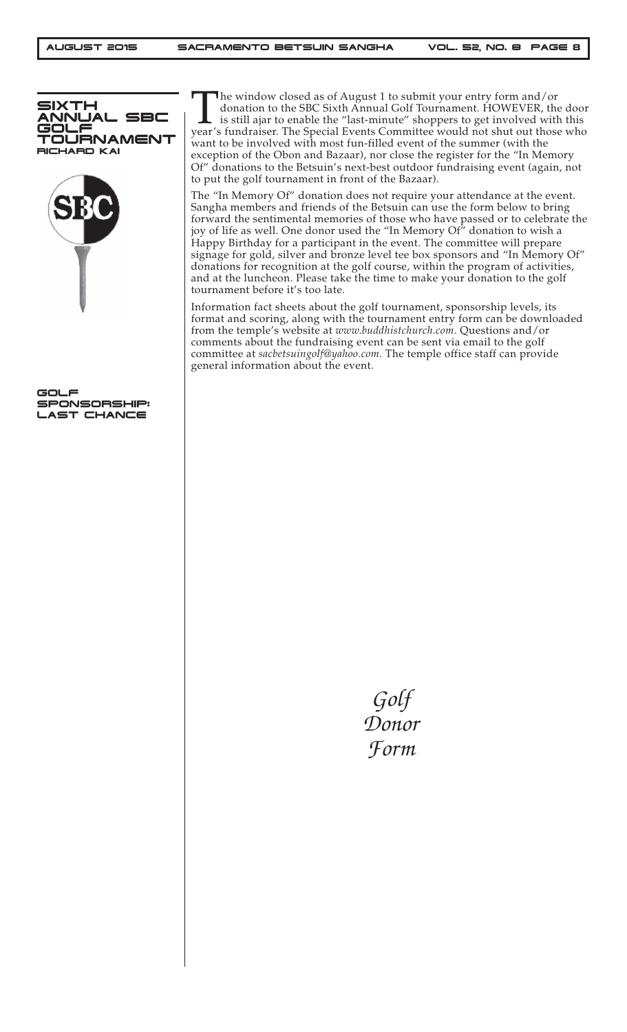

GOLF SPONSORSHIP: LAST CHANCE

The window closed as of August 1 to submit your entry form and/or donation to the SBC Sixth Annual Golf Tournament. HOWEVER, the is still ajar to enable the "last-minute" shoppers to get involved with year's fundraiser. Th donation to the SBC Sixth Annual Golf Tournament. HOWEVER, the door is still ajar to enable the "last-minute" shoppers to get involved with this year's fundraiser. The Special Events Committee would not shut out those who want to be involved with most fun-filled event of the summer (with the exception of the Obon and Bazaar), nor close the register for the "In Memory Of" donations to the Betsuin's next-best outdoor fundraising event (again, not to put the golf tournament in front of the Bazaar).

The "In Memory Of" donation does not require your attendance at the event. Sangha members and friends of the Betsuin can use the form below to bring forward the sentimental memories of those who have passed or to celebrate the joy of life as well. One donor used the "In Memory Of" donation to wish a Happy Birthday for a participant in the event. The committee will prepare signage for gold, silver and bronze level tee box sponsors and "In Memory Of" donations for recognition at the golf course, within the program of activities, and at the luncheon. Please take the time to make your donation to the golf tournament before it's too late.

Information fact sheets about the golf tournament, sponsorship levels, its format and scoring, along with the tournament entry form can be downloaded from the temple's website at *www.buddhistchurch.com.* Questions and/or comments about the fundraising event can be sent via email to the golf committee at *sacbetsuingolf@yahoo.com*. The temple office staff can provide general information about the event.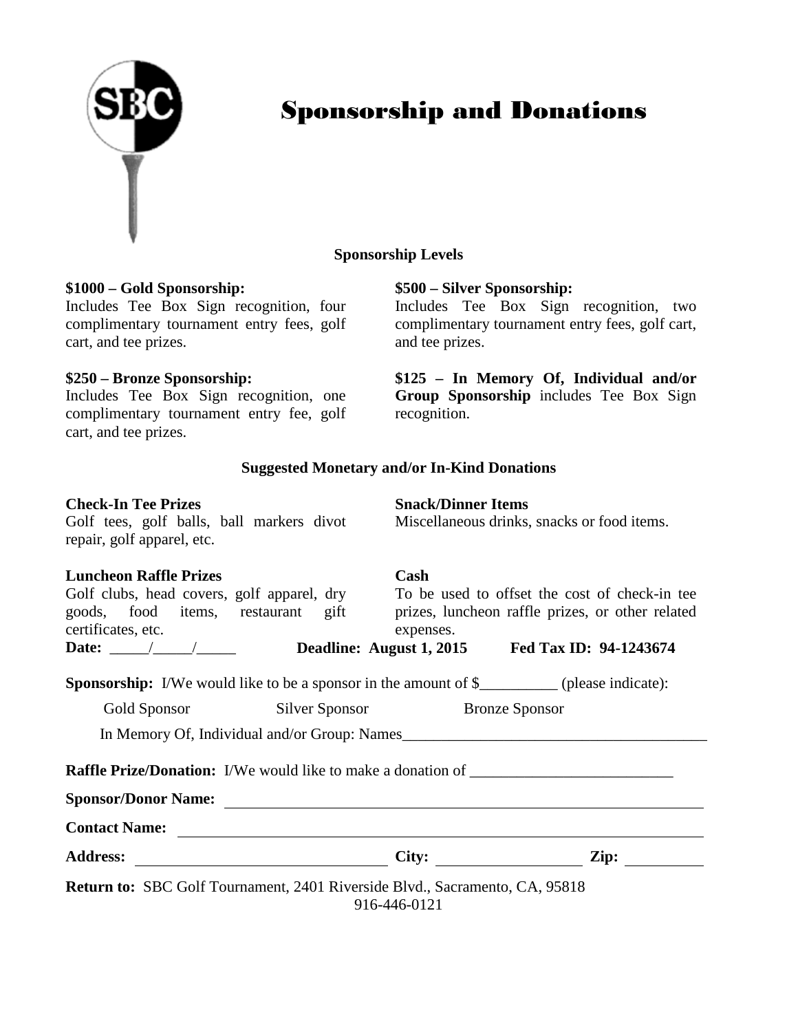#### **Sponsorship Levels**

#### **\$1000 – Gold Sponsorship:**

Includes Tee Box Sign recognition, four complimentary tournament entry fees, golf cart, and tee prizes.

#### **\$250 – Bronze Sponsorship:**

Includes Tee Box Sign recognition, one complimentary tournament entry fee, golf cart, and tee prizes.

### **\$500 – Silver Sponsorship:**

Includes Tee Box Sign recognition, two complimentary tournament entry fees, golf cart, and tee prizes.

**\$125 – In Memory Of, Individual and/or Group Sponsorship** includes Tee Box Sign recognition.

#### **Suggested Monetary and/or In-Kind Donations**

| <b>Check-In Tee Prizes</b><br>Golf tees, golf balls, ball markers divot<br>repair, golf apparel, etc.                                                                                                                          |                   | <b>Snack/Dinner Items</b><br>Miscellaneous drinks, snacks or food items.                                                                                                                                                                                                                                                                                                                                          |
|--------------------------------------------------------------------------------------------------------------------------------------------------------------------------------------------------------------------------------|-------------------|-------------------------------------------------------------------------------------------------------------------------------------------------------------------------------------------------------------------------------------------------------------------------------------------------------------------------------------------------------------------------------------------------------------------|
| <b>Luncheon Raffle Prizes</b><br>certificates, etc.                                                                                                                                                                            | Cash<br>expenses. | Golf clubs, head covers, golf apparel, dry To be used to offset the cost of check-in tee<br>goods, food items, restaurant gift prizes, luncheon raffle prizes, or other related<br>Date: \bdots \bdots \bdots \bdots \bdots \bdots \bdots \bdots \bdots \bdots \bdots \bdots \bdots \bdots \bdots \bdots \bdots \bdots \bdots \bdots \bdots \bdots \bdots \bdots \bdots \bdots \bdots \bdots \bdots \bdots \bdots |
|                                                                                                                                                                                                                                |                   | <b>Sponsorship:</b> I/We would like to be a sponsor in the amount of \$__________ (please indicate):                                                                                                                                                                                                                                                                                                              |
| Gold Sponsor Silver Sponsor Bronze Sponsor                                                                                                                                                                                     |                   |                                                                                                                                                                                                                                                                                                                                                                                                                   |
|                                                                                                                                                                                                                                |                   |                                                                                                                                                                                                                                                                                                                                                                                                                   |
|                                                                                                                                                                                                                                |                   | <b>Raffle Prize/Donation:</b> I/We would like to make a donation of ________________________                                                                                                                                                                                                                                                                                                                      |
| Sponsor/Donor Name: 2008. Contract to the Contract of the Contract of the Contract of the Contract of the Contract of the Contract of the Contract of the Contract of the Contract of the Contract of the Contract of the Cont |                   |                                                                                                                                                                                                                                                                                                                                                                                                                   |
| Contact Name:                                                                                                                                                                                                                  |                   |                                                                                                                                                                                                                                                                                                                                                                                                                   |
|                                                                                                                                                                                                                                |                   | City:                                                                                                                                                                                                                                                                                                                                                                                                             |
| <b>Return to:</b> SBC Golf Tournament, 2401 Riverside Blvd., Sacramento, CA, 95818                                                                                                                                             | 916-446-0121      |                                                                                                                                                                                                                                                                                                                                                                                                                   |